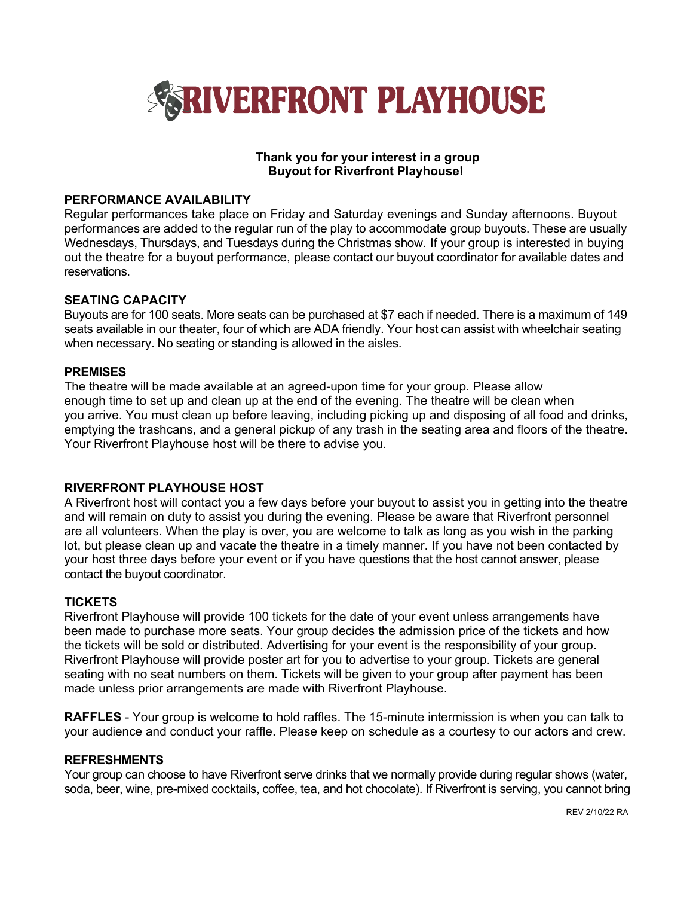

# **Thank you for your interest in a group Buyout for Riverfront Playhouse!**

## **PERFORMANCE AVAILABILITY**

Regular performances take place on Friday and Saturday evenings and Sunday afternoons. Buyout performances are added to the regular run of the play to accommodate group buyouts. These are usually Wednesdays, Thursdays, and Tuesdays during the Christmas show. If your group is interested in buying out the theatre for a buyout performance, please contact our buyout coordinator for available dates and reservations.

## **SEATING CAPACITY**

Buyouts are for 100 seats. More seats can be purchased at \$7 each if needed. There is a maximum of 149 seats available in our theater, four of which are ADA friendly. Your host can assist with wheelchair seating when necessary. No seating or standing is allowed in the aisles.

#### **PREMISES**

The theatre will be made available at an agreed-upon time for your group. Please allow enough time to set up and clean up at the end of the evening. The theatre will be clean when you arrive. You must clean up before leaving, including picking up and disposing of all food and drinks, emptying the trashcans, and a general pickup of any trash in the seating area and floors of the theatre. Your Riverfront Playhouse host will be there to advise you.

#### **RIVERFRONT PLAYHOUSE HOST**

A Riverfront host will contact you a few days before your buyout to assist you in getting into the theatre and will remain on duty to assist you during the evening. Please be aware that Riverfront personnel are all volunteers. When the play is over, you are welcome to talk as long as you wish in the parking lot, but please clean up and vacate the theatre in a timely manner. If you have not been contacted by your host three days before your event or if you have questions that the host cannot answer, please contact the buyout coordinator.

#### **TICKETS**

Riverfront Playhouse will provide 100 tickets for the date of your event unless arrangements have been made to purchase more seats. Your group decides the admission price of the tickets and how the tickets will be sold or distributed. Advertising for your event is the responsibility of your group. Riverfront Playhouse will provide poster art for you to advertise to your group. Tickets are general seating with no seat numbers on them. Tickets will be given to your group after payment has been made unless prior arrangements are made with Riverfront Playhouse.

**RAFFLES** - Your group is welcome to hold raffles. The 15-minute intermission is when you can talk to your audience and conduct your raffle. Please keep on schedule as a courtesy to our actors and crew.

#### **REFRESHMENTS**

Your group can choose to have Riverfront serve drinks that we normally provide during regular shows (water, soda, beer, wine, pre-mixed cocktails, coffee, tea, and hot chocolate). If Riverfront is serving, you cannot bring